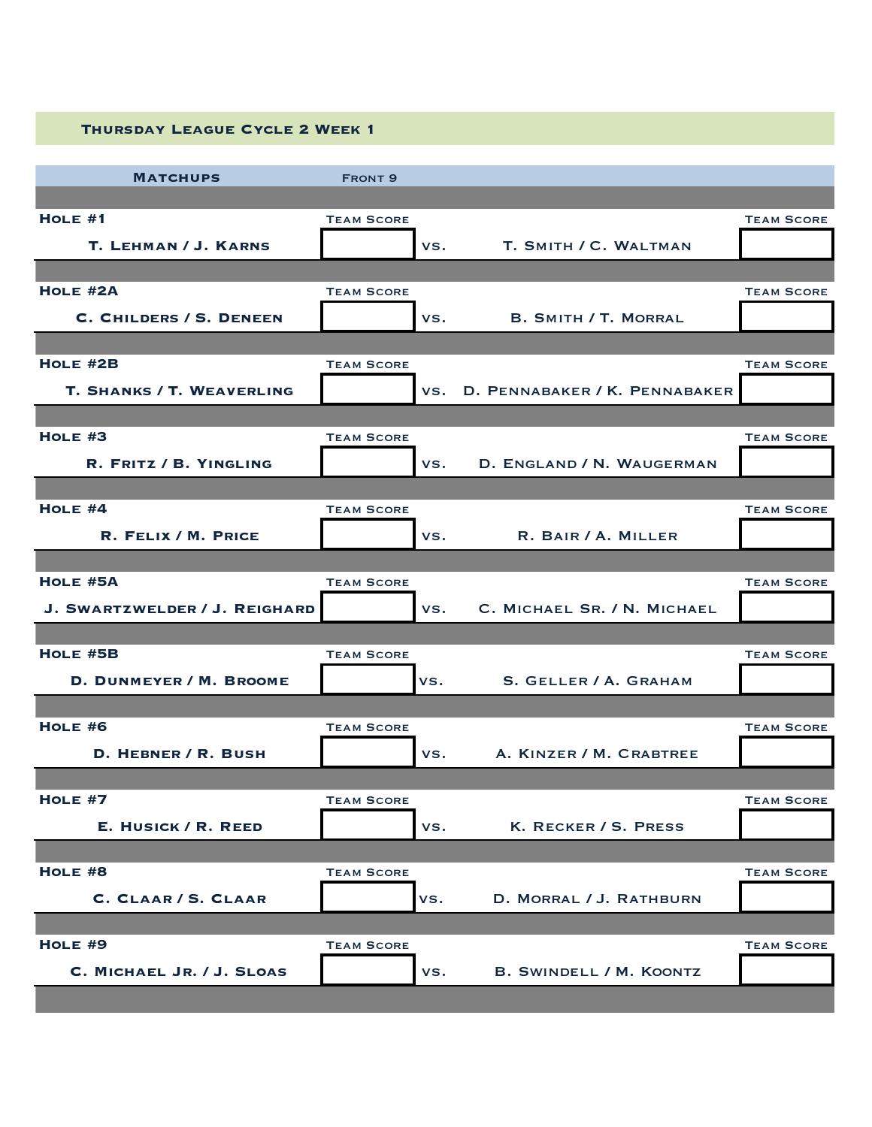| <b>THURSDAY LEAGUE CYCLE 2 WEEK 1</b> |  |
|---------------------------------------|--|

| <b>MATCHUPS</b>                  | <b>FRONT 9</b>    |     |                                   |                   |
|----------------------------------|-------------------|-----|-----------------------------------|-------------------|
|                                  |                   |     |                                   |                   |
| $HOLE$ #1                        | <b>TEAM SCORE</b> |     |                                   | <b>TEAM SCORE</b> |
| T. LEHMAN / J. KARNS             |                   | VS. | T. SMITH / C. WALTMAN             |                   |
|                                  |                   |     |                                   |                   |
| HOLE #2A                         | <b>TEAM SCORE</b> |     |                                   | <b>TEAM SCORE</b> |
| <b>C. CHILDERS / S. DENEEN</b>   |                   | VS. | <b>B. SMITH / T. MORRAL</b>       |                   |
|                                  |                   |     |                                   |                   |
| $HOLE$ #2B                       | <b>TEAM SCORE</b> |     |                                   | <b>TEAM SCORE</b> |
| <b>T. SHANKS / T. WEAVERLING</b> |                   |     | VS. D. PENNABAKER / K. PENNABAKER |                   |
|                                  |                   |     |                                   |                   |
| HOLE $#3$                        | <b>TEAM SCORE</b> |     |                                   | <b>TEAM SCORE</b> |
| R. FRITZ / B. YINGLING           |                   | VS. | D. ENGLAND / N. WAUGERMAN         |                   |
|                                  |                   |     |                                   |                   |
| HOLE $#4$                        | <b>TEAM SCORE</b> |     |                                   | <b>TEAM SCORE</b> |
| R. FELIX / M. PRICE              |                   | VS. | R. BAIR / A. MILLER               |                   |
|                                  |                   |     |                                   |                   |
| $HOLE$ #5A                       | <b>TEAM SCORE</b> |     |                                   | <b>TEAM SCORE</b> |
| J. SWARTZWELDER / J. REIGHARD    |                   | VS. | C. MICHAEL SR. / N. MICHAEL       |                   |
| $HOLE$ #5B                       | <b>TEAM SCORE</b> |     |                                   | <b>TEAM SCORE</b> |
|                                  |                   |     |                                   |                   |
| D. DUNMEYER / M. BROOME          |                   | VS. | S. GELLER / A. GRAHAM             |                   |
| HOLE $#6$                        | <b>TEAM SCORE</b> |     |                                   | <b>TEAM SCORE</b> |
| D. HEBNER / R. BUSH              |                   | VS. | A. KINZER / M. CRABTREE           |                   |
|                                  |                   |     |                                   |                   |
| HOLE #7                          | <b>TEAM SCORE</b> |     |                                   | <b>TEAM SCORE</b> |
| E. HUSICK / R. REED              |                   | VS. | K. RECKER / S. PRESS              |                   |
|                                  |                   |     |                                   |                   |
| $HOLE$ #8                        | <b>TEAM SCORE</b> |     |                                   | <b>TEAM SCORE</b> |
| C. CLAAR / S. CLAAR              |                   | VS. | D. MORRAL / J. RATHBURN           |                   |
|                                  |                   |     |                                   |                   |
| $HOLE$ #9                        | <b>TEAM SCORE</b> |     |                                   | <b>TEAM SCORE</b> |
| C. MICHAEL JR. / J. SLOAS        |                   | VS. | <b>B. SWINDELL / M. KOONTZ</b>    |                   |
|                                  |                   |     |                                   |                   |